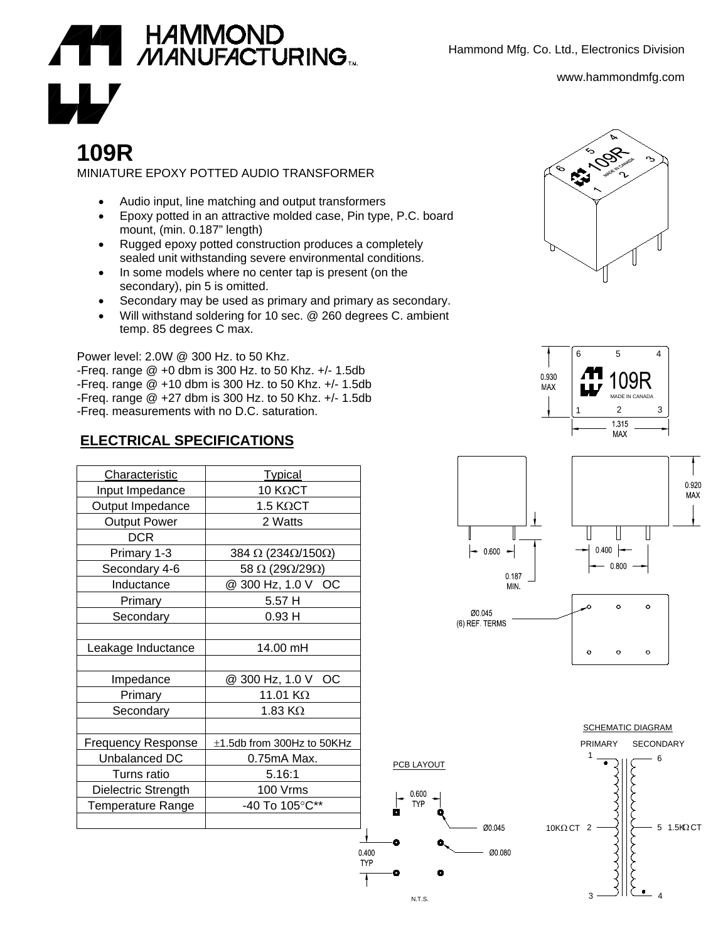Hammond Mfg. Co. Ltd., Electronics Division

www.hammondmfg.com



## **109R**

MINIATURE EPOXY POTTED AUDIO TRANSFORMER

- Audio input, line matching and output transformers
- Epoxy potted in an attractive molded case, Pin type, P.C. board mount, (min. 0.187" length)
- Rugged epoxy potted construction produces a completely sealed unit withstanding severe environmental conditions.
- In some models where no center tap is present (on the secondary), pin 5 is omitted.
- Secondary may be used as primary and primary as secondary.
- Will withstand soldering for 10 sec. @ 260 degrees C. ambient temp. 85 degrees C max.

Power level: 2.0W @ 300 Hz. to 50 Khz. -Freq. range @ +0 dbm is 300 Hz. to 50 Khz. +/- 1.5db -Freq. range @ +10 dbm is 300 Hz. to 50 Khz. +/- 1.5db -Freq. range @ +27 dbm is 300 Hz. to 50 Khz. +/- 1.5db -Freq. measurements with no D.C. saturation.

## **ELECTRICAL SPECIFICATIONS**

| Characteristic            | <b>Typical</b>                             |
|---------------------------|--------------------------------------------|
| Input Impedance           | 10 KΩCT                                    |
| Output Impedance          | $1.5 K\Omega$ CT                           |
| <b>Output Power</b>       | 2 Watts                                    |
| <b>DCR</b>                |                                            |
| Primary 1-3               | 384 $\Omega$ (234 $\Omega$ /150 $\Omega$ ) |
| Secondary 4-6             | 58 $\Omega$ (29 $\Omega$ /29 $\Omega$ )    |
| Inductance                | @ 300 Hz, 1.0 V OC                         |
| Primary                   | 5.57 H                                     |
| Secondary                 | 0.93H                                      |
|                           |                                            |
| Leakage Inductance        | 14.00 mH                                   |
|                           |                                            |
| Impedance                 | @ 300 Hz, 1.0 V<br>ОC                      |
| Primary                   | 11.01 $K\Omega$                            |
| Secondary                 | 1.83 K $\Omega$                            |
|                           |                                            |
| <b>Frequency Response</b> | $\pm$ 1.5db from 300Hz to 50KHz            |
| Unbalanced DC             | 0.75mA Max.                                |
| Turns ratio               | 5.16:1                                     |
| Dielectric Strength       | 100 Vrms                                   |
| <b>Temperature Range</b>  | -40 To 105°C**                             |
|                           |                                            |
|                           |                                            |









N.T.S.

0.400

**TYP** 

0 600 **TYP** 



SCHEMATIC DIAGRAM